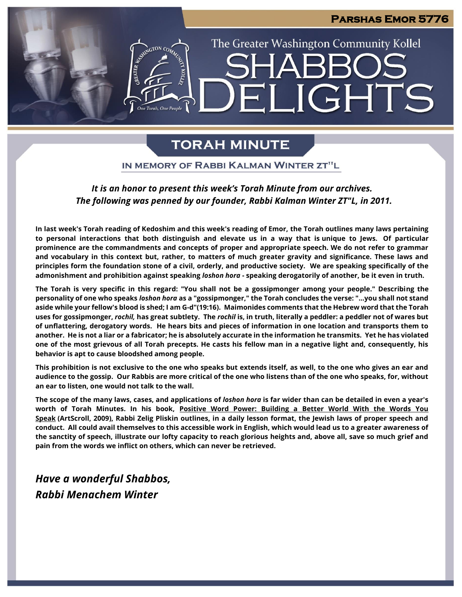#### **Parshas Emor 5776**

# The Greater Washington Community Kollel **LIGHTS**

## **TORAH MINUTE**

IN MEMORY OF RABBI KALMAN WINTER ZT"L

#### *It is an honor to present this week's Torah Minute from our archives. The following was penned by our founder, Rabbi Kalman Winter ZT"L, in 2011.*

**In last week's Torah reading of Kedoshim and this week's reading of Emor, the Torah outlines many laws pertaining to personal interactions that both distinguish and elevate us in a way that is unique to Jews. Of particular prominence are the commandments and concepts of proper and appropriate speech. We do not refer to grammar and vocabulary in this context but, rather, to matters of much greater gravity and significance. These laws and principles form the foundation stone of a civil, orderly, and productive society. We are speaking specifically of the admonishment and prohibition against speaking** *loshon hora* **- speaking derogatorily of another, be it even in truth.**

**The Torah is very specific in this regard: "You shall not be a gossipmonger among your people." Describing the personality of one who speaks** *loshon hora* **as a "gossipmonger," the Torah concludes the verse: "...you shall not stand aside while your fellow's blood is shed; I am G-d"(19:16). Maimonides comments that the Hebrew word that the Torah uses for gossipmonger,** *rochil,* **has great subtlety. The** *rochil* **is, in truth, literally a peddler: a peddler not of wares but of unflattering, derogatory words. He hears bits and pieces of information in one location and transports them to another. He is not a liar or a fabricator; he is absolutely accurate in the information he transmits. Yet he has violated one of the most grievous of all Torah precepts. He casts his fellow man in a negative light and, consequently, his behavior is apt to cause bloodshed among people.**

**This prohibition is not exclusive to the one who speaks but extends itself, as well, to the one who gives an ear and audience to the gossip. Our Rabbis are more critical of the one who listens than of the one who speaks, for, without an ear to listen, one would not talk to the wall.**

**The scope of the many laws, cases, and applications of** *loshon hora* **is far wider than can be detailed in even a year's worth of Torah Minutes. In his book, Positive Word Power: Building a Better World With the Words You Speak (ArtScroll, 2009), Rabbi Zelig Pliskin outlines, in a daily lesson format, the Jewish laws of proper speech and conduct. All could avail themselves to this accessible work in English, which would lead us to a greater awareness of the sanctity of speech, illustrate our lofty capacity to reach glorious heights and, above all, save so much grief and pain from the words we inflict on others, which can never be retrieved.**

*Have a wonderful Shabbos, Rabbi Menachem Winter*